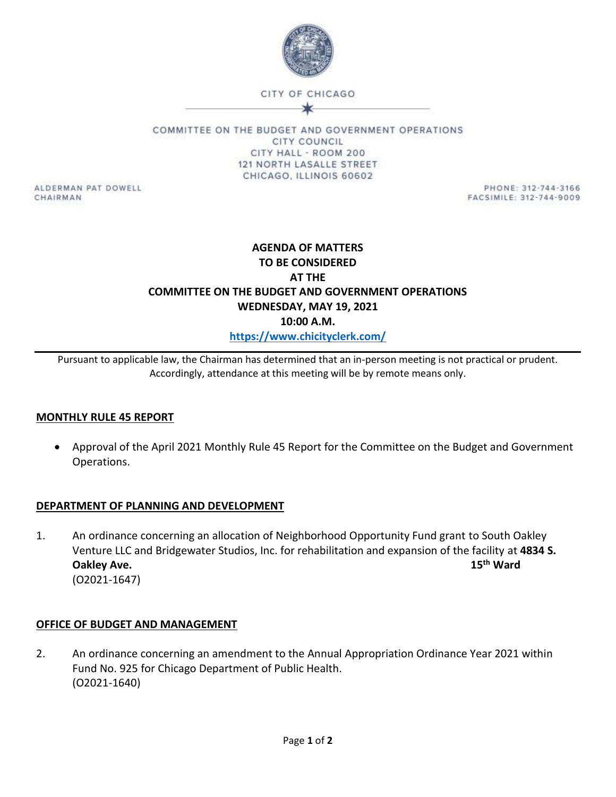

CITY OF CHICAGO

COMMITTEE ON THE BUDGET AND GOVERNMENT OPERATIONS **CITY COUNCIL** CITY HALL - ROOM 200 121 NORTH LASALLE STREET CHICAGO, ILLINOIS 60602

ALDERMAN PAT DOWELL CHAIRMAN

PHONE: 312-744-3166 FACSIMILE: 312-744-9009

# **AGENDA OF MATTERS TO BE CONSIDERED AT THE COMMITTEE ON THE BUDGET AND GOVERNMENT OPERATIONS WEDNESDAY, MAY 19, 2021 10:00 A.M. <https://www.chicityclerk.com/>**

Pursuant to applicable law, the Chairman has determined that an in-person meeting is not practical or prudent. Accordingly, attendance at this meeting will be by remote means only.

## **MONTHLY RULE 45 REPORT**

 Approval of the April 2021 Monthly Rule 45 Report for the Committee on the Budget and Government Operations.

## **DEPARTMENT OF PLANNING AND DEVELOPMENT**

1. An ordinance concerning an allocation of Neighborhood Opportunity Fund grant to South Oakley Venture LLC and Bridgewater Studios, Inc. for rehabilitation and expansion of the facility at **4834 S. Oakley Ave. 15th Ward** (O2021-1647)

## **OFFICE OF BUDGET AND MANAGEMENT**

2. An ordinance concerning an amendment to the Annual Appropriation Ordinance Year 2021 within Fund No. 925 for Chicago Department of Public Health. (O2021-1640)